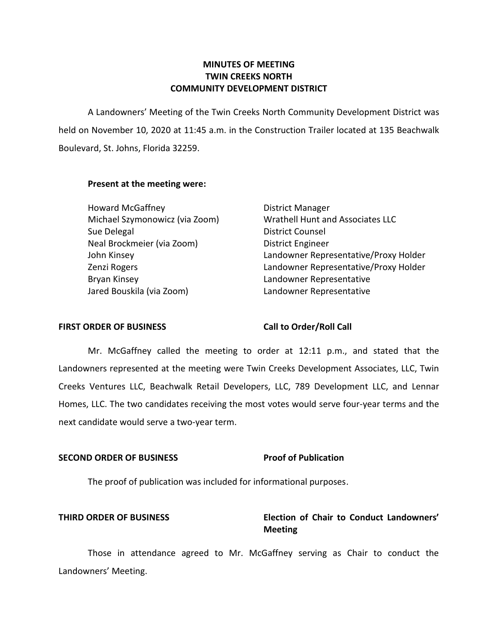# **TWIN CREEKS NORTH COMMUNITY DEVELOPMENT DISTRICT**

 A Landowners' Meeting of the Twin Creeks North Community Development District was held on November 10, 2020 at 11:45 a.m. in the Construction Trailer located at 135 Beachwalk Boulevard, St. Johns, Florida 32259.

#### **Present at the meeting were:**

| <b>MINUTES OF MEETING</b><br><b>TWIN CREEKS NORTH</b><br><b>COMMUNITY DEVELOPMENT DISTRICT</b>                                                                                            |                                                                                                                                                                                                                                                                                                                                          |  |  |  |
|-------------------------------------------------------------------------------------------------------------------------------------------------------------------------------------------|------------------------------------------------------------------------------------------------------------------------------------------------------------------------------------------------------------------------------------------------------------------------------------------------------------------------------------------|--|--|--|
|                                                                                                                                                                                           | A Landowners' Meeting of the Twin Creeks North Community Development District v                                                                                                                                                                                                                                                          |  |  |  |
|                                                                                                                                                                                           | ו November 10, 2020 at 11:45 a.m. in the Construction Trailer located at 135 Beachw                                                                                                                                                                                                                                                      |  |  |  |
| ard, St. Johns, Florida 32259.                                                                                                                                                            |                                                                                                                                                                                                                                                                                                                                          |  |  |  |
| Present at the meeting were:                                                                                                                                                              |                                                                                                                                                                                                                                                                                                                                          |  |  |  |
| <b>Howard McGaffney</b><br>Michael Szymonowicz (via Zoom)<br>Sue Delegal<br>Neal Brockmeier (via Zoom)<br>John Kinsey<br>Zenzi Rogers<br><b>Bryan Kinsey</b><br>Jared Bouskila (via Zoom) | District Manager<br>Wrathell Hunt and Associates LLC<br><b>District Counsel</b><br><b>District Engineer</b><br>Landowner Representative/Proxy Holder<br>Landowner Representative/Proxy Holder<br>Landowner Representative<br>Landowner Representative                                                                                    |  |  |  |
| <b>ORDER OF BUSINESS</b>                                                                                                                                                                  | <b>Call to Order/Roll Call</b>                                                                                                                                                                                                                                                                                                           |  |  |  |
| ndidate would serve a two-year term.                                                                                                                                                      | Mr. McGaffney called the meeting to order at 12:11 p.m., and stated that t<br>vners represented at the meeting were Twin Creeks Development Associates, LLC, Tv<br>Ventures LLC, Beachwalk Retail Developers, LLC, 789 Development LLC, and Leni<br>, LLC. The two candidates receiving the most votes would serve four-year terms and t |  |  |  |
| <b>D ORDER OF BUSINESS</b>                                                                                                                                                                | <b>Proof of Publication</b>                                                                                                                                                                                                                                                                                                              |  |  |  |
| The proof of publication was included for informational purposes.                                                                                                                         |                                                                                                                                                                                                                                                                                                                                          |  |  |  |
| <b>ORDER OF BUSINESS</b>                                                                                                                                                                  | Election of Chair to Conduct Landowne                                                                                                                                                                                                                                                                                                    |  |  |  |

#### **FIRST ORDER OF BUSINESS**

#### **Call to Order/Roll Call**

 Mr. McGaffney called the meeting to order at 12:11 p.m., and stated that the Landowners represented at the meeting were Twin Creeks Development Associates, LLC, Twin Creeks Ventures LLC, Beachwalk Retail Developers, LLC, 789 Development LLC, and Lennar Homes, LLC. The two candidates receiving the most votes would serve four-year terms and the next candidate would serve a two-year term.

#### **Proof of Publication SECOND ORDER OF BUSINESS**

## **THIRD ORDER OF BUSINESS Election of Chair to Conduct Landowners' Meeting**

 Those in attendance agreed to Mr. McGaffney serving as Chair to conduct the Landowners' Meeting.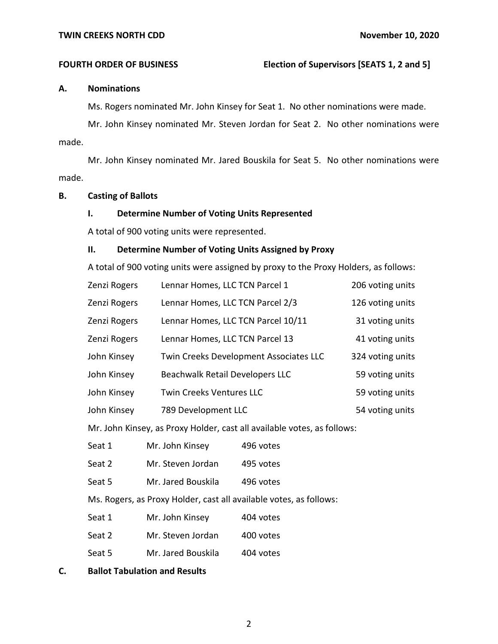#### **FOURTH ORDER OF BUSINESS**

#### **A. Nominations**

Ms. Rogers nominated Mr. John Kinsey for Seat 1. No other nominations were made.

 Mr. John Kinsey nominated Mr. Steven Jordan for Seat 2. No other nominations were made.

 Mr. John Kinsey nominated Mr. Jared Bouskila for Seat 5. No other nominations were made.

#### **B. Casting of Ballots**

### **I. Determine Number of Voting Units Represented**

A total of 900 voting units were represented.

#### **II. Determine Number of Voting Units Assigned by Proxy**

A total of 900 voting units were assigned by proxy to the Proxy Holders, as follows:

| Zenzi Rogers | Lennar Homes, LLC TCN Parcel 1         | 206 voting units |
|--------------|----------------------------------------|------------------|
| Zenzi Rogers | Lennar Homes, LLC TCN Parcel 2/3       | 126 voting units |
| Zenzi Rogers | Lennar Homes, LLC TCN Parcel 10/11     | 31 voting units  |
| Zenzi Rogers | Lennar Homes, LLC TCN Parcel 13        | 41 voting units  |
| John Kinsey  | Twin Creeks Development Associates LLC | 324 voting units |
| John Kinsey  | Beachwalk Retail Developers LLC        | 59 voting units  |
| John Kinsey  | <b>Twin Creeks Ventures LLC</b>        | 59 voting units  |
| John Kinsey  | 789 Development LLC                    | 54 voting units  |

Mr. John Kinsey, as Proxy Holder, cast all available votes, as follows:

| Seat 1 | Mr. John Kinsey | 496 votes |
|--------|-----------------|-----------|
|--------|-----------------|-----------|

Seat 2 Mr. Steven Jordan 495 votes

Seat 5 Mr. Jared Bouskila 496 votes

Ms. Rogers, as Proxy Holder, cast all available votes, as follows:

| Seat 1 | Mr. John Kinsey | 404 votes |
|--------|-----------------|-----------|
|        |                 |           |

| Mr. Steven Jordan<br>Seat 2<br>400 votes |  |
|------------------------------------------|--|
|------------------------------------------|--|

- Seat 5 Mr. Jared Bouskila 404 votes
- **C. Ballot Tabulation and Results**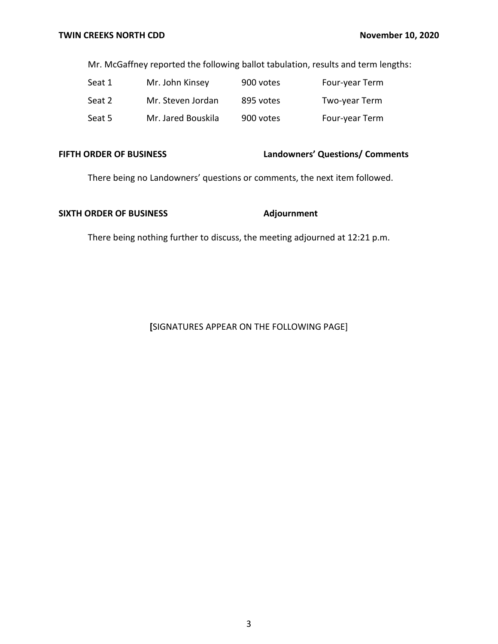Mr. McGaffney reported the following ballot tabulation, results and term lengths:

| Seat 1 | Mr. John Kinsey    | 900 votes | Four-year Term |
|--------|--------------------|-----------|----------------|
| Seat 2 | Mr. Steven Jordan  | 895 votes | Two-year Term  |
| Seat 5 | Mr. Jared Bouskila | 900 votes | Four-year Term |

#### **FIFTH ORDER OF BUSINESS**

**FIFTH ORDER OF BUSINESS Landowners' Questions/ Comments** 

There being no Landowners' questions or comments, the next item followed.

### **SIXTH ORDER OF BUSINESS** Adjournment

There being nothing further to discuss, the meeting adjourned at 12:21 p.m.

### **[**SIGNATURES APPEAR ON THE FOLLOWING PAGE]